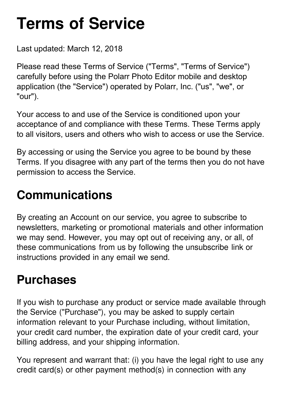# **Terms of Service**

Last updated: March 12, 2018

Please read these Terms of Service ("Terms", "Terms of Service") carefully before using the Polarr Photo Editor mobile and desktop application (the "Service") operated by Polarr, Inc. ("us", "we", or "our").

Your access to and use of the Service is conditioned upon your acceptance of and compliance with these Terms. These Terms apply to all visitors, users and others who wish to access or use the Service.

By accessing or using the Service you agree to be bound by these Terms. If you disagree with any part of the terms then you do not have permission to access the Service.

#### **Communications**

By creating an Account on our service, you agree to subscribe to newsletters, marketing or promotional materials and other information we may send. However, you may opt out of receiving any, or all, of these communications from us by following the unsubscribe link or instructions provided in any email we send.

#### **Purchases**

If you wish to purchase any product or service made available through the Service ("Purchase"), you may be asked to supply certain information relevant to your Purchase including, without limitation, your credit card number, the expiration date of your credit card, your billing address, and your shipping information.

You represent and warrant that: (i) you have the legal right to use any credit card(s) or other payment method(s) in connection with any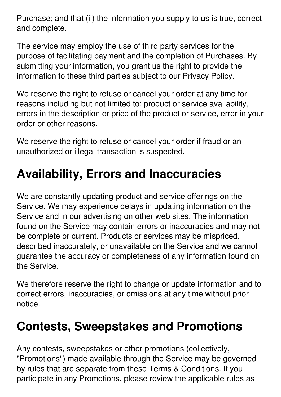Purchase; and that (ii) the information you supply to us is true, correct and complete.

The service may employ the use of third party services for the purpose of facilitating payment and the completion of Purchases. By submitting your information, you grant us the right to provide the information to these third parties subject to our Privacy Policy.

We reserve the right to refuse or cancel your order at any time for reasons including but not limited to: product or service availability, errors in the description or price of the product or service, error in your order or other reasons.

We reserve the right to refuse or cancel your order if fraud or an unauthorized or illegal transaction is suspected.

# **Availability, Errors and Inaccuracies**

We are constantly updating product and service offerings on the Service. We may experience delays in updating information on the Service and in our advertising on other web sites. The information found on the Service may contain errors or inaccuracies and may not be complete or current. Products or services may be mispriced, described inaccurately, or unavailable on the Service and we cannot guarantee the accuracy or completeness of any information found on the Service.

We therefore reserve the right to change or update information and to correct errors, inaccuracies, or omissions at any time without prior notice.

#### **Contests, Sweepstakes and Promotions**

Any contests, sweepstakes or other promotions (collectively, "Promotions") made available through the Service may be governed by rules that are separate from these Terms & Conditions. If you participate in any Promotions, please review the applicable rules as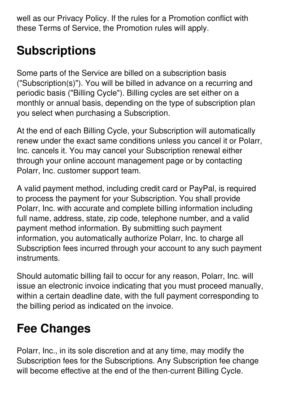well as our Privacy Policy. If the rules for a Promotion conflict with these Terms of Service, the Promotion rules will apply.

# **Subscriptions**

Some parts of the Service are billed on a subscription basis ("Subscription(s)"). You will be billed in advance on a recurring and periodic basis ("Billing Cycle"). Billing cycles are set either on a monthly or annual basis, depending on the type of subscription plan you select when purchasing a Subscription.

At the end of each Billing Cycle, your Subscription will automatically renew under the exact same conditions unless you cancel it or Polarr, Inc. cancels it. You may cancel your Subscription renewal either through your online account management page or by contacting Polarr, Inc. customer support team.

A valid payment method, including credit card or PayPal, is required to process the payment for your Subscription. You shall provide Polarr, Inc. with accurate and complete billing information including full name, address, state, zip code, telephone number, and a valid payment method information. By submitting such payment information, you automatically authorize Polarr, Inc. to charge all Subscription fees incurred through your account to any such payment instruments.

Should automatic billing fail to occur for any reason, Polarr, Inc. will issue an electronic invoice indicating that you must proceed manually, within a certain deadline date, with the full payment corresponding to the billing period as indicated on the invoice.

# **Fee Changes**

Polarr, Inc., in its sole discretion and at any time, may modify the Subscription fees for the Subscriptions. Any Subscription fee change will become effective at the end of the then-current Billing Cycle.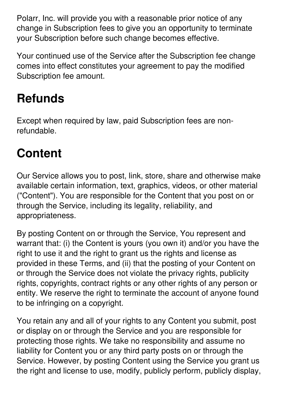Polarr, Inc. will provide you with a reasonable prior notice of any change in Subscription fees to give you an opportunity to terminate your Subscription before such change becomes effective.

Your continued use of the Service after the Subscription fee change comes into effect constitutes your agreement to pay the modified Subscription fee amount.

# **Refunds**

Except when required by law, paid Subscription fees are nonrefundable.

#### **Content**

Our Service allows you to post, link, store, share and otherwise make available certain information, text, graphics, videos, or other material ("Content"). You are responsible for the Content that you post on or through the Service, including its legality, reliability, and appropriateness.

By posting Content on or through the Service, You represent and warrant that: (i) the Content is yours (you own it) and/or you have the right to use it and the right to grant us the rights and license as provided in these Terms, and (ii) that the posting of your Content on or through the Service does not violate the privacy rights, publicity rights, copyrights, contract rights or any other rights of any person or entity. We reserve the right to terminate the account of anyone found to be infringing on a copyright.

You retain any and all of your rights to any Content you submit, post or display on or through the Service and you are responsible for protecting those rights. We take no responsibility and assume no liability for Content you or any third party posts on or through the Service. However, by posting Content using the Service you grant us the right and license to use, modify, publicly perform, publicly display,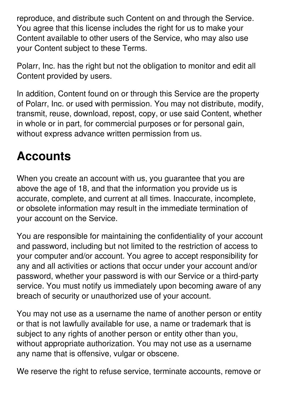reproduce, and distribute such Content on and through the Service. You agree that this license includes the right for us to make your Content available to other users of the Service, who may also use your Content subject to these Terms.

Polarr, Inc. has the right but not the obligation to monitor and edit all Content provided by users.

In addition, Content found on or through this Service are the property of Polarr, Inc. or used with permission. You may not distribute, modify, transmit, reuse, download, repost, copy, or use said Content, whether in whole or in part, for commercial purposes or for personal gain, without express advance written permission from us.

#### **Accounts**

When you create an account with us, you guarantee that you are above the age of 18, and that the information you provide us is accurate, complete, and current at all times. Inaccurate, incomplete, or obsolete information may result in the immediate termination of your account on the Service.

You are responsible for maintaining the confidentiality of your account and password, including but not limited to the restriction of access to your computer and/or account. You agree to accept responsibility for any and all activities or actions that occur under your account and/or password, whether your password is with our Service or a third-party service. You must notify us immediately upon becoming aware of any breach of security or unauthorized use of your account.

You may not use as a username the name of another person or entity or that is not lawfully available for use, a name or trademark that is subject to any rights of another person or entity other than you, without appropriate authorization. You may not use as a username any name that is offensive, vulgar or obscene.

We reserve the right to refuse service, terminate accounts, remove or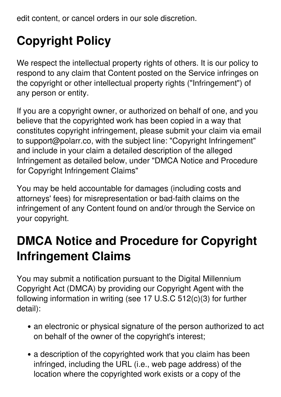edit content, or cancel orders in our sole discretion.

# **Copyright Policy**

We respect the intellectual property rights of others. It is our policy to respond to any claim that Content posted on the Service infringes on the copyright or other intellectual property rights ("Infringement") of any person or entity.

If you are a copyright owner, or authorized on behalf of one, and you believe that the copyrighted work has been copied in a way that constitutes copyright infringement, please submit your claim via email to support@polarr.co, with the subject line: "Copyright Infringement" and include in your claim a detailed description of the alleged Infringement as detailed below, under "DMCA Notice and Procedure for Copyright Infringement Claims"

You may be held accountable for damages (including costs and attorneys' fees) for misrepresentation or bad-faith claims on the infringement of any Content found on and/or through the Service on your copyright.

#### **DMCA Notice and Procedure for Copyright Infringement Claims**

You may submit a notification pursuant to the Digital Millennium Copyright Act (DMCA) by providing our Copyright Agent with the following information in writing (see 17 U.S.C 512(c)(3) for further detail):

- an electronic or physical signature of the person authorized to act on behalf of the owner of the copyright's interest;
- a description of the copyrighted work that you claim has been infringed, including the URL (i.e., web page address) of the location where the copyrighted work exists or a copy of the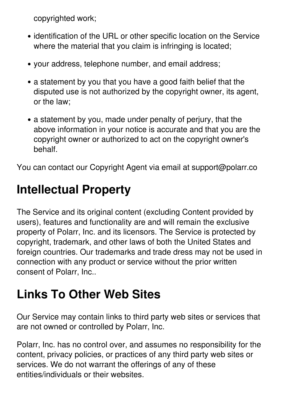copyrighted work;

- identification of the URL or other specific location on the Service where the material that you claim is infringing is located;
- your address, telephone number, and email address;
- a statement by you that you have a good faith belief that the disputed use is not authorized by the copyright owner, its agent, or the law;
- a statement by you, made under penalty of perjury, that the above information in your notice is accurate and that you are the copyright owner or authorized to act on the copyright owner's behalf.

You can contact our Copyright Agent via email at support@polarr.co

#### **Intellectual Property**

The Service and its original content (excluding Content provided by users), features and functionality are and will remain the exclusive property of Polarr, Inc. and its licensors. The Service is protected by copyright, trademark, and other laws of both the United States and foreign countries. Our trademarks and trade dress may not be used in connection with any product or service without the prior written consent of Polarr, Inc..

# **Links To Other Web Sites**

Our Service may contain links to third party web sites or services that are not owned or controlled by Polarr, Inc.

Polarr, Inc. has no control over, and assumes no responsibility for the content, privacy policies, or practices of any third party web sites or services. We do not warrant the offerings of any of these entities/individuals or their websites.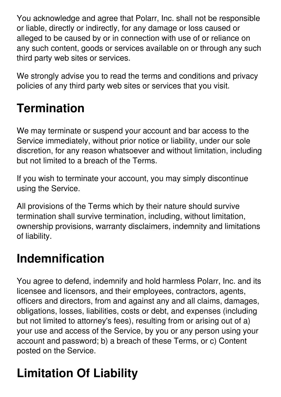You acknowledge and agree that Polarr, Inc. shall not be responsible or liable, directly or indirectly, for any damage or loss caused or alleged to be caused by or in connection with use of or reliance on any such content, goods or services available on or through any such third party web sites or services.

We strongly advise you to read the terms and conditions and privacy policies of any third party web sites or services that you visit.

# **Termination**

We may terminate or suspend your account and bar access to the Service immediately, without prior notice or liability, under our sole discretion, for any reason whatsoever and without limitation, including but not limited to a breach of the Terms.

If you wish to terminate your account, you may simply discontinue using the Service.

All provisions of the Terms which by their nature should survive termination shall survive termination, including, without limitation, ownership provisions, warranty disclaimers, indemnity and limitations of liability.

#### **Indemnification**

You agree to defend, indemnify and hold harmless Polarr, Inc. and its licensee and licensors, and their employees, contractors, agents, officers and directors, from and against any and all claims, damages, obligations, losses, liabilities, costs or debt, and expenses (including but not limited to attorney's fees), resulting from or arising out of a) your use and access of the Service, by you or any person using your account and password; b) a breach of these Terms, or c) Content posted on the Service.

# **Limitation Of Liability**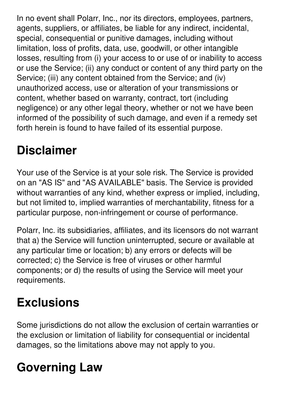In no event shall Polarr, Inc., nor its directors, employees, partners, agents, suppliers, or affiliates, be liable for any indirect, incidental, special, consequential or punitive damages, including without limitation, loss of profits, data, use, goodwill, or other intangible losses, resulting from (i) your access to or use of or inability to access or use the Service; (ii) any conduct or content of any third party on the Service; (iii) any content obtained from the Service; and (iv) unauthorized access, use or alteration of your transmissions or content, whether based on warranty, contract, tort (including negligence) or any other legal theory, whether or not we have been informed of the possibility of such damage, and even if a remedy set forth herein is found to have failed of its essential purpose.

# **Disclaimer**

Your use of the Service is at your sole risk. The Service is provided on an "AS IS" and "AS AVAILABLE" basis. The Service is provided without warranties of any kind, whether express or implied, including, but not limited to, implied warranties of merchantability, fitness for a particular purpose, non-infringement or course of performance.

Polarr, Inc. its subsidiaries, affiliates, and its licensors do not warrant that a) the Service will function uninterrupted, secure or available at any particular time or location; b) any errors or defects will be corrected; c) the Service is free of viruses or other harmful components; or d) the results of using the Service will meet your requirements.

# **Exclusions**

Some jurisdictions do not allow the exclusion of certain warranties or the exclusion or limitation of liability for consequential or incidental damages, so the limitations above may not apply to you.

# **Governing Law**